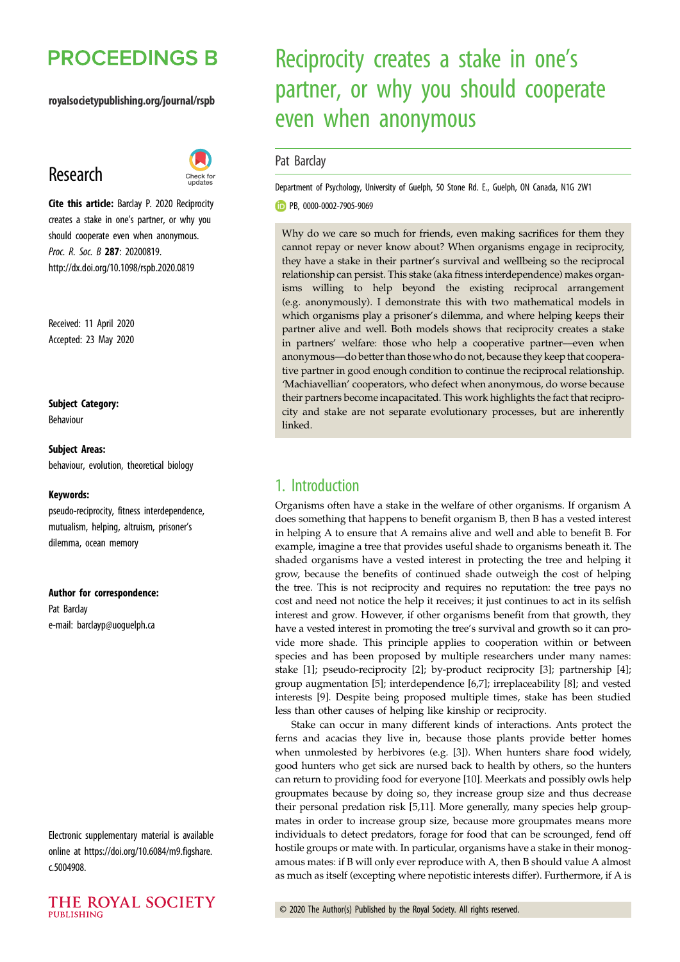## **PROCEEDINGS B**

#### royalsocietypublishing.org/journal/rspb

## Research



Cite this article: Barclay P. 2020 Reciprocity creates a stake in one's partner, or why you should cooperate even when anonymous. Proc. R. Soc. B 287: 20200819. http://dx.doi.org/10.1098/rspb.2020.0819

Received: 11 April 2020 Accepted: 23 May 2020

#### Subject Category:

Behaviour

#### Subject Areas:

behaviour, evolution, theoretical biology

#### Keywords:

pseudo-reciprocity, fitness interdependence, mutualism, helping, altruism, prisoner's dilemma, ocean memory

#### Author for correspondence:

Pat Barclay e-mail: [barclayp@uoguelph.ca](mailto:barclayp@uoguelph.ca)

Electronic supplementary material is available online at [https://doi.org/10.6084/m9.figshare.](https://doi.org/10.6084/m9.figshare.c.5004908) [c.5004908.](https://doi.org/10.6084/m9.figshare.c.5004908)



# Reciprocity creates a stake in one's partner, or why you should cooperate even when anonymous

### Pat Barclay

Department of Psychology, University of Guelph, 50 Stone Rd. E., Guelph, ON Canada, N1G 2W1

**D** PB, [0000-0002-7905-9069](http://orcid.org/0000-0002-7905-9069)

Why do we care so much for friends, even making sacrifices for them they cannot repay or never know about? When organisms engage in reciprocity, they have a stake in their partner's survival and wellbeing so the reciprocal relationship can persist. This stake (aka fitness interdependence) makes organisms willing to help beyond the existing reciprocal arrangement (e.g. anonymously). I demonstrate this with two mathematical models in which organisms play a prisoner's dilemma, and where helping keeps their partner alive and well. Both models shows that reciprocity creates a stake in partners' welfare: those who help a cooperative partner––even when anonymous––do better than thosewho do not, because they keep that cooperative partner in good enough condition to continue the reciprocal relationship. 'Machiavellian' cooperators, who defect when anonymous, do worse because their partners become incapacitated. This work highlights the fact that reciprocity and stake are not separate evolutionary processes, but are inherently linked.

## 1. Introduction

Organisms often have a stake in the welfare of other organisms. If organism A does something that happens to benefit organism B, then B has a vested interest in helping A to ensure that A remains alive and well and able to benefit B. For example, imagine a tree that provides useful shade to organisms beneath it. The shaded organisms have a vested interest in protecting the tree and helping it grow, because the benefits of continued shade outweigh the cost of helping the tree. This is not reciprocity and requires no reputation: the tree pays no cost and need not notice the help it receives; it just continues to act in its selfish interest and grow. However, if other organisms benefit from that growth, they have a vested interest in promoting the tree's survival and growth so it can provide more shade. This principle applies to cooperation within or between species and has been proposed by multiple researchers under many names: stake [\[1\]](#page-4-0); pseudo-reciprocity [[2](#page-4-0)]; by-product reciprocity [[3](#page-4-0)]; partnership [\[4\]](#page-5-0); group augmentation [\[5\]](#page-5-0); interdependence [[6,7\]](#page-5-0); irreplaceability [[8](#page-5-0)]; and vested interests [\[9\]](#page-5-0). Despite being proposed multiple times, stake has been studied less than other causes of helping like kinship or reciprocity.

Stake can occur in many different kinds of interactions. Ants protect the ferns and acacias they live in, because those plants provide better homes when unmolested by herbivores (e.g. [[3](#page-4-0)]). When hunters share food widely, good hunters who get sick are nursed back to health by others, so the hunters can return to providing food for everyone [\[10](#page-5-0)]. Meerkats and possibly owls help groupmates because by doing so, they increase group size and thus decrease their personal predation risk [\[5,11](#page-5-0)]. More generally, many species help groupmates in order to increase group size, because more groupmates means more individuals to detect predators, forage for food that can be scrounged, fend off hostile groups or mate with. In particular, organisms have a stake in their monogamous mates: if B will only ever reproduce with A, then B should value A almost as much as itself (excepting where nepotistic interests differ). Furthermore, if A is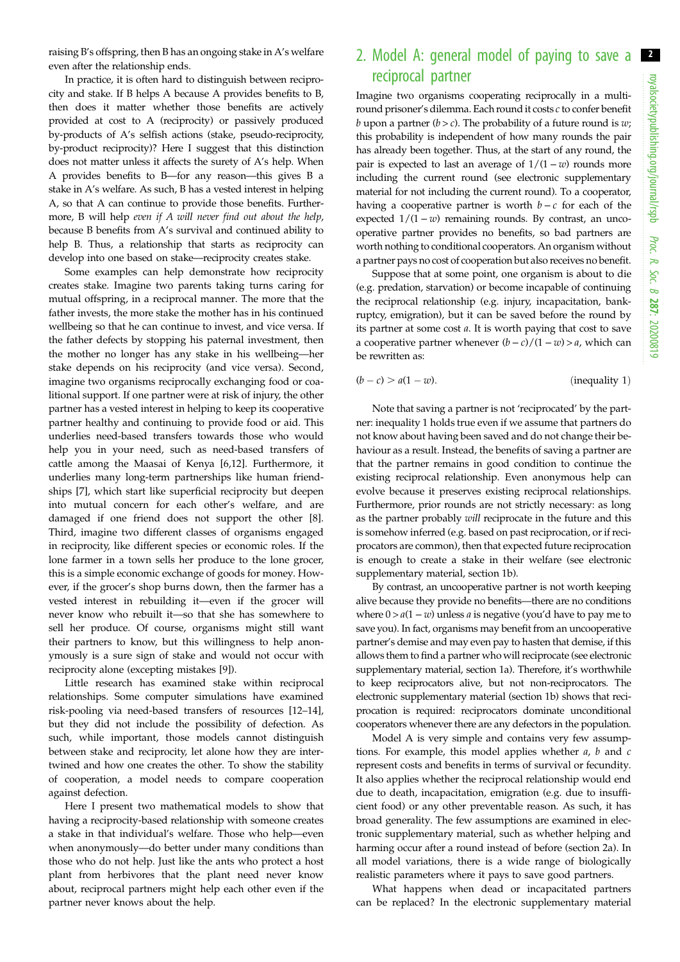raising B's offspring, then B has an ongoing stake in A's welfare even after the relationship ends.

In practice, it is often hard to distinguish between reciprocity and stake. If B helps A because A provides benefits to B, then does it matter whether those benefits are actively provided at cost to A (reciprocity) or passively produced by-products of A's selfish actions (stake, pseudo-reciprocity, by-product reciprocity)? Here I suggest that this distinction does not matter unless it affects the surety of A's help. When A provides benefits to B––for any reason––this gives B a stake in A's welfare. As such, B has a vested interest in helping A, so that A can continue to provide those benefits. Furthermore, B will help even if A will never find out about the help, because B benefits from A's survival and continued ability to help B. Thus, a relationship that starts as reciprocity can develop into one based on stake––reciprocity creates stake.

Some examples can help demonstrate how reciprocity creates stake. Imagine two parents taking turns caring for mutual offspring, in a reciprocal manner. The more that the father invests, the more stake the mother has in his continued wellbeing so that he can continue to invest, and vice versa. If the father defects by stopping his paternal investment, then the mother no longer has any stake in his wellbeing––her stake depends on his reciprocity (and vice versa). Second, imagine two organisms reciprocally exchanging food or coalitional support. If one partner were at risk of injury, the other partner has a vested interest in helping to keep its cooperative partner healthy and continuing to provide food or aid. This underlies need-based transfers towards those who would help you in your need, such as need-based transfers of cattle among the Maasai of Kenya [[6](#page-5-0),[12](#page-5-0)]. Furthermore, it underlies many long-term partnerships like human friendships [\[7\]](#page-5-0), which start like superficial reciprocity but deepen into mutual concern for each other's welfare, and are damaged if one friend does not support the other [[8](#page-5-0)]. Third, imagine two different classes of organisms engaged in reciprocity, like different species or economic roles. If the lone farmer in a town sells her produce to the lone grocer, this is a simple economic exchange of goods for money. However, if the grocer's shop burns down, then the farmer has a vested interest in rebuilding it––even if the grocer will never know who rebuilt it––so that she has somewhere to sell her produce. Of course, organisms might still want their partners to know, but this willingness to help anonymously is a sure sign of stake and would not occur with reciprocity alone (excepting mistakes [[9](#page-5-0)]).

Little research has examined stake within reciprocal relationships. Some computer simulations have examined risk-pooling via need-based transfers of resources [[12](#page-5-0)–[14](#page-5-0)], but they did not include the possibility of defection. As such, while important, those models cannot distinguish between stake and reciprocity, let alone how they are intertwined and how one creates the other. To show the stability of cooperation, a model needs to compare cooperation against defection.

Here I present two mathematical models to show that having a reciprocity-based relationship with someone creates a stake in that individual's welfare. Those who help––even when anonymously––do better under many conditions than those who do not help. Just like the ants who protect a host plant from herbivores that the plant need never know about, reciprocal partners might help each other even if the partner never knows about the help.

## 2. Model A: general model of paying to save a reciprocal partner

Imagine two organisms cooperating reciprocally in a multiround prisoner's dilemma. Each round it costs c to confer benefit b upon a partner  $(b > c)$ . The probability of a future round is w; this probability is independent of how many rounds the pair has already been together. Thus, at the start of any round, the pair is expected to last an average of  $1/(1 - w)$  rounds more including the current round (see electronic supplementary material for not including the current round). To a cooperator, having a cooperative partner is worth  $b - c$  for each of the expected  $1/(1 - w)$  remaining rounds. By contrast, an uncooperative partner provides no benefits, so bad partners are worth nothing to conditional cooperators. An organism without a partner pays no cost of cooperation but also receives no benefit.

Suppose that at some point, one organism is about to die (e.g. predation, starvation) or become incapable of continuing the reciprocal relationship (e.g. injury, incapacitation, bankruptcy, emigration), but it can be saved before the round by its partner at some cost a. It is worth paying that cost to save a cooperative partner whenever  $(b - c)/(1 - w) > a$ , which can be rewritten as:

$$
(b - c) > a(1 - w).
$$
 (inequality 1)

Note that saving a partner is not 'reciprocated' by the partner: inequality 1 holds true even if we assume that partners do not know about having been saved and do not change their behaviour as a result. Instead, the benefits of saving a partner are that the partner remains in good condition to continue the existing reciprocal relationship. Even anonymous help can evolve because it preserves existing reciprocal relationships. Furthermore, prior rounds are not strictly necessary: as long as the partner probably will reciprocate in the future and this is somehow inferred (e.g. based on past reciprocation, or if reciprocators are common), then that expected future reciprocation is enough to create a stake in their welfare (see electronic supplementary material, section 1b).

By contrast, an uncooperative partner is not worth keeping alive because they provide no benefits––there are no conditions where  $0 > a(1 - w)$  unless *a* is negative (you'd have to pay me to save you). In fact, organisms may benefit from an uncooperative partner's demise and may even pay to hasten that demise, if this allows them to find a partner who will reciprocate (see electronic supplementary material, section 1a). Therefore, it's worthwhile to keep reciprocators alive, but not non-reciprocators. The electronic supplementary material (section 1b) shows that reciprocation is required: reciprocators dominate unconditional cooperators whenever there are any defectors in the population.

Model A is very simple and contains very few assumptions. For example, this model applies whether  $a$ ,  $b$  and  $c$ represent costs and benefits in terms of survival or fecundity. It also applies whether the reciprocal relationship would end due to death, incapacitation, emigration (e.g. due to insufficient food) or any other preventable reason. As such, it has broad generality. The few assumptions are examined in electronic supplementary material, such as whether helping and harming occur after a round instead of before (section 2a). In all model variations, there is a wide range of biologically realistic parameters where it pays to save good partners.

What happens when dead or incapacitated partners can be replaced? In the electronic supplementary material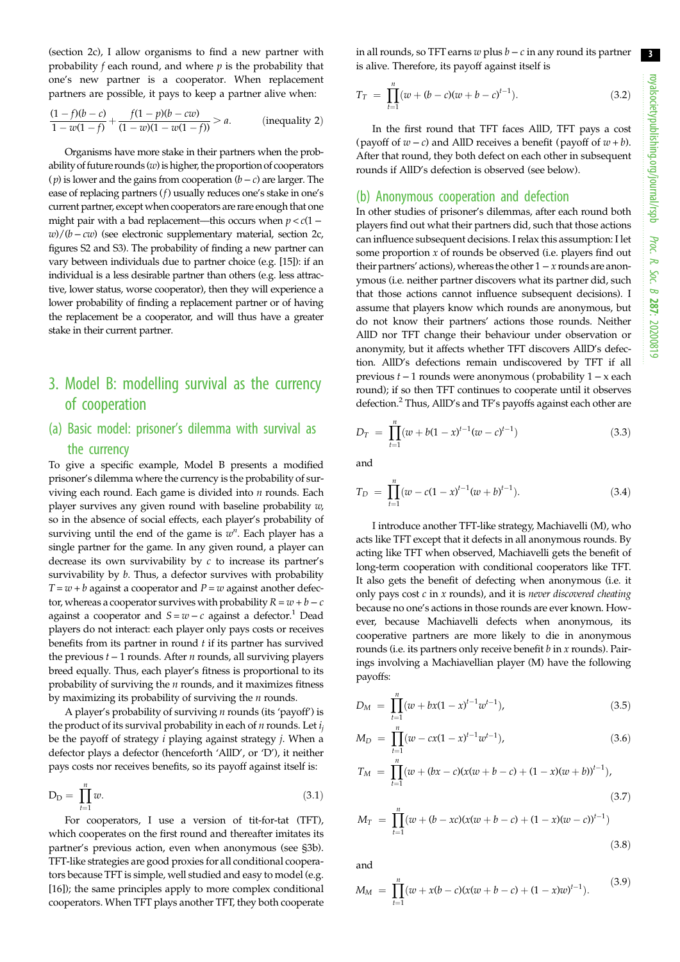(section 2c), I allow organisms to find a new partner with probability  $f$  each round, and where  $p$  is the probability that one's new partner is a cooperator. When replacement partners are possible, it pays to keep a partner alive when:

$$
\frac{(1-f)(b-c)}{1-w(1-f)} + \frac{f(1-p)(b-cw)}{(1-w)(1-w(1-f))} > a.
$$
 (inequality 2)

Organisms have more stake in their partners when the probability of future rounds  $(w)$  is higher, the proportion of cooperators ( $p$ ) is lower and the gains from cooperation ( $b - c$ ) are larger. The ease of replacing partners (f) usually reduces one's stake in one's current partner, except when cooperators are rare enough that one might pair with a bad replacement—this occurs when  $p < c(1 w$ )/( $b - cw$ ) (see electronic supplementary material, section 2c, figures S2 and S3). The probability of finding a new partner can vary between individuals due to partner choice (e.g. [\[15\]](#page-5-0)): if an individual is a less desirable partner than others (e.g. less attractive, lower status, worse cooperator), then they will experience a lower probability of finding a replacement partner or of having the replacement be a cooperator, and will thus have a greater stake in their current partner.

## 3. Model B: modelling survival as the currency of cooperation

## (a) Basic model: prisoner's dilemma with survival as the currency

To give a specific example, Model B presents a modified prisoner's dilemma where the currency is the probability of surviving each round. Each game is divided into  $n$  rounds. Each player survives any given round with baseline probability  $w$ , so in the absence of social effects, each player's probability of surviving until the end of the game is  $w^n$ . Each player has a single partner for the game. In any given round, a player can decrease its own survivability by  $c$  to increase its partner's survivability by  $b$ . Thus, a defector survives with probability  $T = w + b$  against a cooperator and  $P = w$  against another defector, whereas a cooperator survives with probability  $R = w + b - c$ against a cooperator and  $S = w - c$  against a defector.<sup>1</sup> Dead players do not interact: each player only pays costs or receives benefits from its partner in round  $t$  if its partner has survived the previous  $t - 1$  rounds. After *n* rounds, all surviving players breed equally. Thus, each player's fitness is proportional to its probability of surviving the  $n$  rounds, and it maximizes fitness by maximizing its probability of surviving the  $n$  rounds.

A player's probability of surviving  $n$  rounds (its 'payoff') is the product of its survival probability in each of  $n$  rounds. Let  $i_j$ be the payoff of strategy  $i$  playing against strategy  $j$ . When a defector plays a defector (henceforth 'AllD', or 'D'), it neither pays costs nor receives benefits, so its payoff against itself is:

$$
D_D = \prod_{t=1}^{n} w.
$$
\n
$$
(3.1)
$$

For cooperators, I use a version of tit-for-tat (TFT), which cooperates on the first round and thereafter imitates its partner's previous action, even when anonymous (see §3b). TFT-like strategies are good proxies for all conditional cooperators because TFT is simple, well studied and easy to model (e.g. [\[16](#page-5-0)]); the same principles apply to more complex conditional cooperators. When TFT plays another TFT, they both cooperate in all rounds, so TFT earns  $w$  plus  $b - c$  in any round its partner is alive. Therefore, its payoff against itself is

$$
T_T = \prod_{t=1}^{n} (w + (b - c)(w + b - c)^{t-1}).
$$
\n(3.2)

In the first round that TFT faces AllD, TFT pays a cost (payoff of  $w - c$ ) and AllD receives a benefit (payoff of  $w + b$ ). After that round, they both defect on each other in subsequent rounds if AllD's defection is observed (see below).

### (b) Anonymous cooperation and defection

In other studies of prisoner's dilemmas, after each round both players find out what their partners did, such that those actions can influence subsequent decisions. I relax this assumption: I let some proportion  $x$  of rounds be observed (i.e. players find out their partners' actions), whereas the other  $1 - x$  rounds are anonymous (i.e. neither partner discovers what its partner did, such that those actions cannot influence subsequent decisions). I assume that players know which rounds are anonymous, but do not know their partners' actions those rounds. Neither AllD nor TFT change their behaviour under observation or anonymity, but it affects whether TFT discovers AllD's defection. AllD's defections remain undiscovered by TFT if all previous t − 1 rounds were anonymous (probability 1 − x each round); if so then TFT continues to cooperate until it observes defection.2 Thus, AllD's and TF's payoffs against each other are

$$
D_T = \prod_{t=1}^{n} (w + b(1 - x)^{t-1}(w - c)^{t-1})
$$
\n(3.3)

and

$$
T_D = \prod_{t=1}^{n} (w - c(1 - x)^{t-1}(w + b)^{t-1}).
$$
\n(3.4)

I introduce another TFT-like strategy, Machiavelli (M), who acts like TFT except that it defects in all anonymous rounds. By acting like TFT when observed, Machiavelli gets the benefit of long-term cooperation with conditional cooperators like TFT. It also gets the benefit of defecting when anonymous (i.e. it only pays cost  $c$  in  $x$  rounds), and it is never discovered cheating because no one's actions in those rounds are ever known. However, because Machiavelli defects when anonymous, its cooperative partners are more likely to die in anonymous rounds (i.e. its partners only receive benefit  $b$  in  $x$  rounds). Pairings involving a Machiavellian player (M) have the following payoffs:

$$
D_M = \prod_{t=1}^n (w + bx(1 - x)^{t-1} w^{t-1}), \tag{3.5}
$$

$$
M_D = \prod_{t=1}^{n} (w - cx(1 - x)^{t-1} w^{t-1}), \qquad (3.6)
$$

$$
T_M = \prod_{t=1}^n (w + (bx - c)(x(w + b - c) + (1 - x)(w + b))^{t-1}),
$$
\n(3.7)

$$
M_T = \prod_{t=1}^{n} (w + (b - xc)(x(w + b - c) + (1 - x)(w - c))^{t-1})
$$
\n(3.8)

and

$$
M_M = \prod_{t=1}^n (w + x(b - c)(x(w + b - c) + (1 - x)w)^{t-1}). \tag{3.9}
$$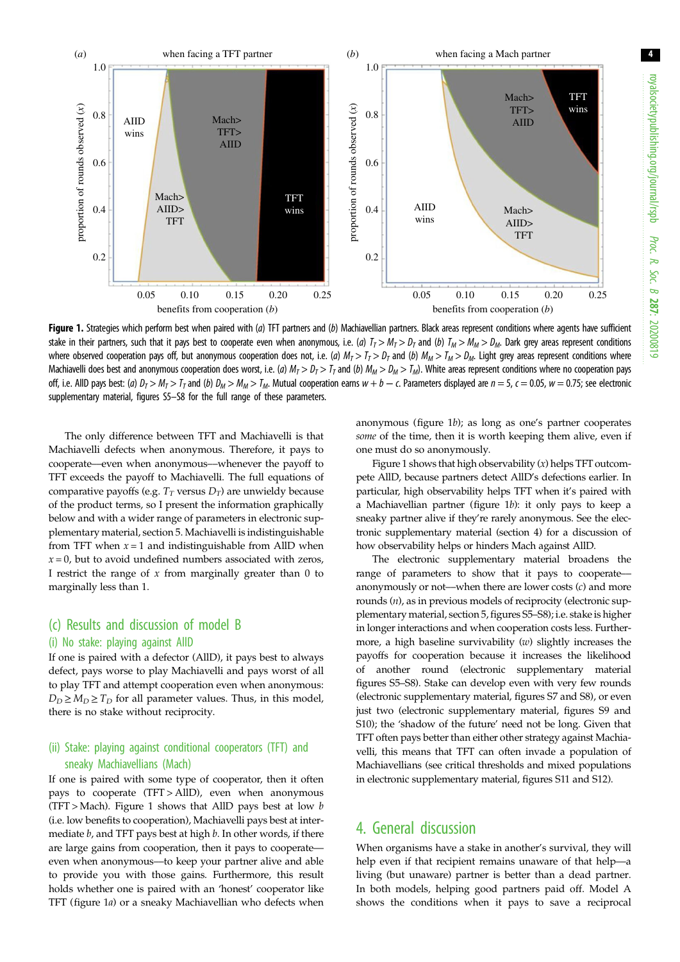

Figure 1. Strategies which perform best when paired with (a) TFT partners and (b) Machiavellian partners. Black areas represent conditions where agents have sufficient stake in their partners, such that it pays best to cooperate even when anonymous, i.e. (a)  $T_T > M_T > D_T$  and (b)  $T_M > M_M > D_M$ . Dark grey areas represent conditions where observed cooperation pays off, but anonymous cooperation does not, i.e. (a)  $M_T > T_T > D_T$  and (b)  $M_M > T_M > D_M$ . Light grey areas represent conditions where Machiavelli does best and anonymous cooperation does worst, i.e. (a)  $M_T > D_T > T_T$  and (b)  $M_M > D_M > T_M$ ). White areas represent conditions where no cooperation pays off, i.e. AllD pays best: (a)  $D_T > M_T > T_T$  and (b)  $D_M > M_M > T_M$ . Mutual cooperation earns  $w + b - c$ . Parameters displayed are  $n = 5$ ,  $c = 0.05$ ,  $w = 0.75$ ; see electronic supplementary material, figures S5–S8 for the full range of these parameters.

The only difference between TFT and Machiavelli is that Machiavelli defects when anonymous. Therefore, it pays to cooperate––even when anonymous––whenever the payoff to TFT exceeds the payoff to Machiavelli. The full equations of comparative payoffs (e.g.  $T_T$  versus  $D_T$ ) are unwieldy because of the product terms, so I present the information graphically below and with a wider range of parameters in electronic supplementary material, section 5. Machiavelli is indistinguishable from TFT when  $x = 1$  and indistinguishable from AllD when  $x = 0$ , but to avoid undefined numbers associated with zeros, I restrict the range of  $x$  from marginally greater than 0 to marginally less than 1.

## (c) Results and discussion of model B

#### (i) No stake: playing against AllD

If one is paired with a defector (AllD), it pays best to always defect, pays worse to play Machiavelli and pays worst of all to play TFT and attempt cooperation even when anonymous:  $D_D \geq M_D \geq T_D$  for all parameter values. Thus, in this model, there is no stake without reciprocity.

## (ii) Stake: playing against conditional cooperators (TFT) and sneaky Machiavellians (Mach)

If one is paired with some type of cooperator, then it often pays to cooperate (TFT > AllD), even when anonymous (TFT > Mach). Figure 1 shows that AllD pays best at low  $b$ (i.e. low benefits to cooperation), Machiavelli pays best at intermediate b, and TFT pays best at high b. In other words, if there are large gains from cooperation, then it pays to cooperate–– even when anonymous––to keep your partner alive and able to provide you with those gains. Furthermore, this result holds whether one is paired with an 'honest' cooperator like TFT (figure 1a) or a sneaky Machiavellian who defects when

anonymous (figure 1b); as long as one's partner cooperates some of the time, then it is worth keeping them alive, even if one must do so anonymously.

Figure 1 shows that high observability  $(x)$  helps TFT outcompete AllD, because partners detect AllD's defections earlier. In particular, high observability helps TFT when it's paired with a Machiavellian partner (figure 1b): it only pays to keep a sneaky partner alive if they're rarely anonymous. See the electronic supplementary material (section 4) for a discussion of how observability helps or hinders Mach against AllD.

The electronic supplementary material broadens the range of parameters to show that it pays to cooperate–– anonymously or not—when there are lower costs  $(c)$  and more rounds (n), as in previous models of reciprocity (electronic supplementary material, section 5, figures S5–S8); i.e. stake is higher in longer interactions and when cooperation costs less. Furthermore, a high baseline survivability  $(w)$  slightly increases the payoffs for cooperation because it increases the likelihood of another round (electronic supplementary material figures S5–S8). Stake can develop even with very few rounds (electronic supplementary material, figures S7 and S8), or even just two (electronic supplementary material, figures S9 and S10); the 'shadow of the future' need not be long. Given that TFT often pays better than either other strategy against Machiavelli, this means that TFT can often invade a population of Machiavellians (see critical thresholds and mixed populations in electronic supplementary material, figures S11 and S12).

## 4. General discussion

When organisms have a stake in another's survival, they will help even if that recipient remains unaware of that help—a living (but unaware) partner is better than a dead partner. In both models, helping good partners paid off. Model A shows the conditions when it pays to save a reciprocal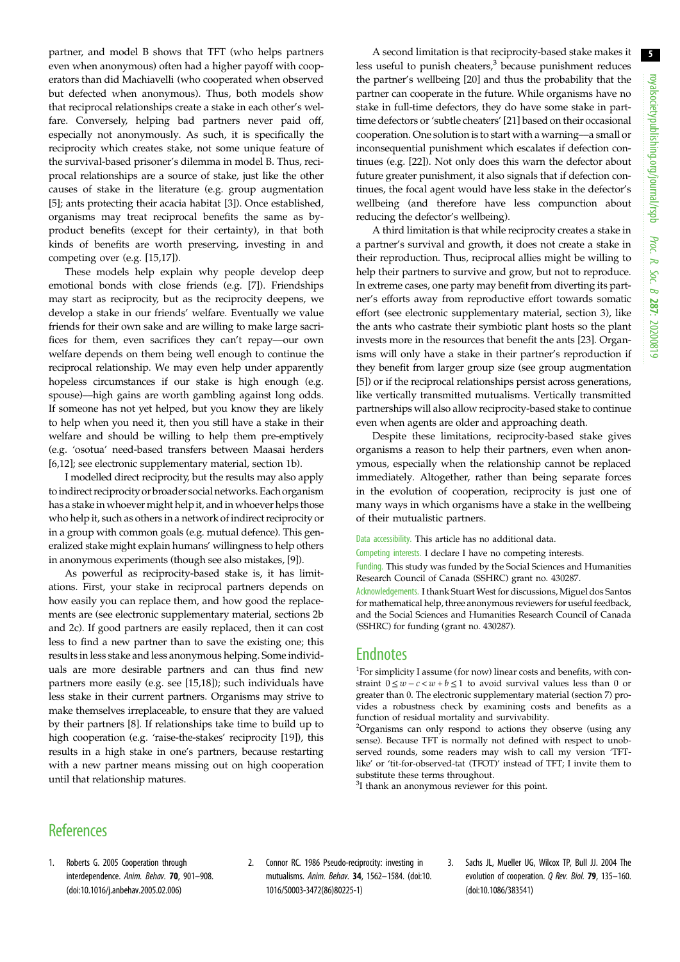<span id="page-4-0"></span>partner, and model B shows that TFT (who helps partners even when anonymous) often had a higher payoff with cooperators than did Machiavelli (who cooperated when observed but defected when anonymous). Thus, both models show that reciprocal relationships create a stake in each other's welfare. Conversely, helping bad partners never paid off, especially not anonymously. As such, it is specifically the reciprocity which creates stake, not some unique feature of the survival-based prisoner's dilemma in model B. Thus, reciprocal relationships are a source of stake, just like the other causes of stake in the literature (e.g. group augmentation [\[5\]](#page-5-0); ants protecting their acacia habitat [3]). Once established, organisms may treat reciprocal benefits the same as byproduct benefits (except for their certainty), in that both kinds of benefits are worth preserving, investing in and competing over (e.g. [\[15,17](#page-5-0)]).

These models help explain why people develop deep emotional bonds with close friends (e.g. [\[7\]](#page-5-0)). Friendships may start as reciprocity, but as the reciprocity deepens, we develop a stake in our friends' welfare. Eventually we value friends for their own sake and are willing to make large sacrifices for them, even sacrifices they can't repay––our own welfare depends on them being well enough to continue the reciprocal relationship. We may even help under apparently hopeless circumstances if our stake is high enough (e.g. spouse)––high gains are worth gambling against long odds. If someone has not yet helped, but you know they are likely to help when you need it, then you still have a stake in their welfare and should be willing to help them pre-emptively (e.g. 'osotua' need-based transfers between Maasai herders [\[6,12](#page-5-0)]; see electronic supplementary material, section 1b).

I modelled direct reciprocity, but the results may also apply to indirect reciprocity or broader social networks. Each organism has a stake in whoever might help it, and in whoever helps those who help it, such as others in a network of indirect reciprocity or in a group with common goals (e.g. mutual defence). This generalized stake might explain humans' willingness to help others in anonymous experiments (though see also mistakes, [\[9\]](#page-5-0)).

As powerful as reciprocity-based stake is, it has limitations. First, your stake in reciprocal partners depends on how easily you can replace them, and how good the replacements are (see electronic supplementary material, sections 2b and 2c). If good partners are easily replaced, then it can cost less to find a new partner than to save the existing one; this results in less stake and less anonymous helping. Some individuals are more desirable partners and can thus find new partners more easily (e.g. see [[15,18](#page-5-0)]); such individuals have less stake in their current partners. Organisms may strive to make themselves irreplaceable, to ensure that they are valued by their partners [[8](#page-5-0)]. If relationships take time to build up to high cooperation (e.g. 'raise-the-stakes' reciprocity [[19\]](#page-5-0)), this results in a high stake in one's partners, because restarting with a new partner means missing out on high cooperation until that relationship matures.

A second limitation is that reciprocity-based stake makes it less useful to punish cheaters,<sup>3</sup> because punishment reduces the partner's wellbeing [[20\]](#page-5-0) and thus the probability that the partner can cooperate in the future. While organisms have no stake in full-time defectors, they do have some stake in parttime defectors or'subtle cheaters' [[21\]](#page-5-0) based on their occasional cooperation. One solution is to start with a warning––a small or inconsequential punishment which escalates if defection continues (e.g. [[22\]](#page-5-0)). Not only does this warn the defector about future greater punishment, it also signals that if defection continues, the focal agent would have less stake in the defector's wellbeing (and therefore have less compunction about reducing the defector's wellbeing).

A third limitation is that while reciprocity creates a stake in a partner's survival and growth, it does not create a stake in their reproduction. Thus, reciprocal allies might be willing to help their partners to survive and grow, but not to reproduce. In extreme cases, one party may benefit from diverting its partner's efforts away from reproductive effort towards somatic effort (see electronic supplementary material, section 3), like the ants who castrate their symbiotic plant hosts so the plant invests more in the resources that benefit the ants [[23](#page-5-0)]. Organisms will only have a stake in their partner's reproduction if they benefit from larger group size (see group augmentation [[5](#page-5-0)]) or if the reciprocal relationships persist across generations, like vertically transmitted mutualisms. Vertically transmitted partnerships will also allow reciprocity-based stake to continue even when agents are older and approaching death.

Despite these limitations, reciprocity-based stake gives organisms a reason to help their partners, even when anonymous, especially when the relationship cannot be replaced immediately. Altogether, rather than being separate forces in the evolution of cooperation, reciprocity is just one of many ways in which organisms have a stake in the wellbeing of their mutualistic partners.

Data accessibility. This article has no additional data.

Competing interests. I declare I have no competing interests.

Funding. This study was funded by the Social Sciences and Humanities Research Council of Canada (SSHRC) grant no. 430287.

Acknowledgements. I thank Stuart West for discussions, Miguel dos Santos for mathematical help, three anonymous reviewers for useful feedback, and the Social Sciences and Humanities Research Council of Canada (SSHRC) for funding (grant no. 430287).

## **Endnotes**

1 For simplicity I assume (for now) linear costs and benefits, with constraint  $0 \leq w - c \leq w + b \leq 1$  to avoid survival values less than 0 or greater than 0. The electronic supplementary material (section 7) provides a robustness check by examining costs and benefits as a function of residual mortality and survivability.

<sup>2</sup>Organisms can only respond to actions they observe (using any sense). Because TFT is normally not defined with respect to unobserved rounds, some readers may wish to call my version 'TFTlike' or 'tit-for-observed-tat (TFOT)' instead of TFT; I invite them to substitute these terms throughout.

<sup>3</sup>I thank an anonymous reviewer for this point.

## **References**

- 1. Roberts G. 2005 Cooperation through interdependence. Anim. Behav. 70, 901–908. [\(doi:10.1016/j.anbehav.2005.02.006\)](http://dx.doi.org/10.1016/j.anbehav.2005.02.006)
- 2. Connor RC. 1986 Pseudo-reciprocity: investing in mutualisms. Anim. Behav. 34, 1562–1584. [\(doi:10.](http://dx.doi.org/10.1016/S0003-3472(86)80225-1) [1016/S0003-3472\(86\)80225-1](http://dx.doi.org/10.1016/S0003-3472(86)80225-1))
- 3. Sachs JL, Mueller UG, Wilcox TP, Bull JJ. 2004 The evolution of cooperation. Q Rev. Biol. 79, 135-160. ([doi:10.1086/383541\)](http://dx.doi.org/10.1086/383541)